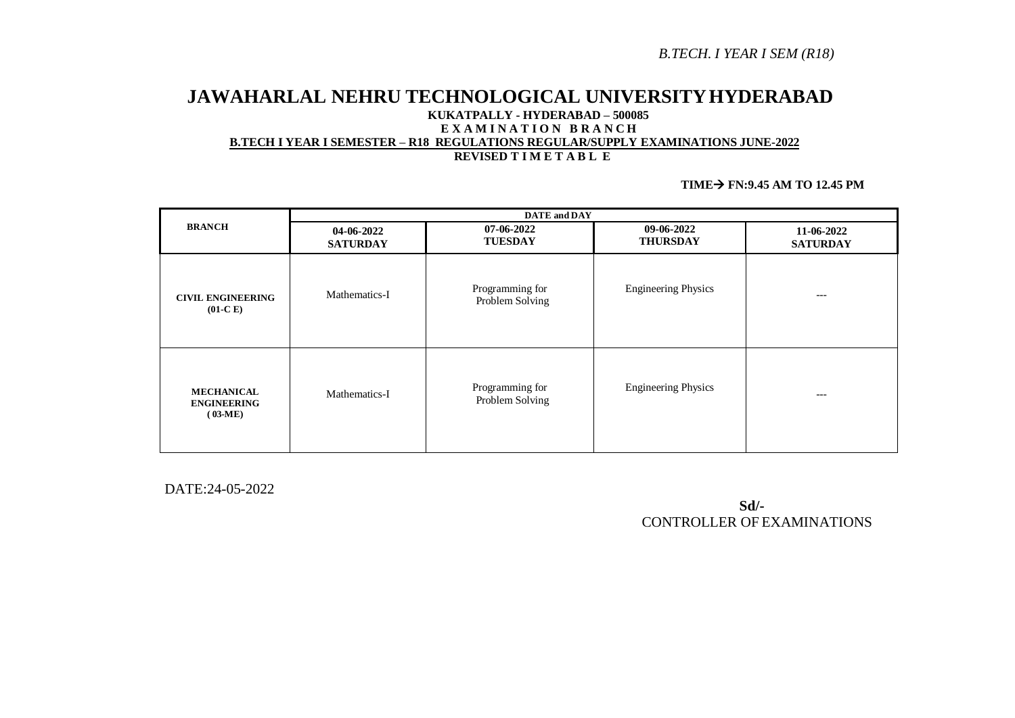# **JAWAHARLAL NEHRU TECHNOLOGICAL UNIVERSITYHYDERABAD KUKATPALLY - HYDERABAD – 500085 E X A M I N A T I O N B R A N C H B.TECH I YEAR I SEMESTER – R18 REGULATIONS REGULAR/SUPPLY EXAMINATIONS JUNE-2022 REVISED T I M E T A B L E**

### **TIME**  $\rightarrow$  **FN:9.45 AM TO 12.45 PM**

|                                                      | <b>DATE</b> and <b>DAY</b>    |                                    |                               |                               |
|------------------------------------------------------|-------------------------------|------------------------------------|-------------------------------|-------------------------------|
| <b>BRANCH</b>                                        | 04-06-2022<br><b>SATURDAY</b> | 07-06-2022<br><b>TUESDAY</b>       | 09-06-2022<br><b>THURSDAY</b> | 11-06-2022<br><b>SATURDAY</b> |
| <b>CIVIL ENGINEERING</b><br>$(01-C)$                 | Mathematics-I                 | Programming for<br>Problem Solving | <b>Engineering Physics</b>    | ---                           |
| <b>MECHANICAL</b><br><b>ENGINEERING</b><br>$(03-ME)$ | Mathematics-I                 | Programming for<br>Problem Solving | <b>Engineering Physics</b>    | $---$                         |

DATE:24-05-2022

 **Sd/-** CONTROLLER OF EXAMINATIONS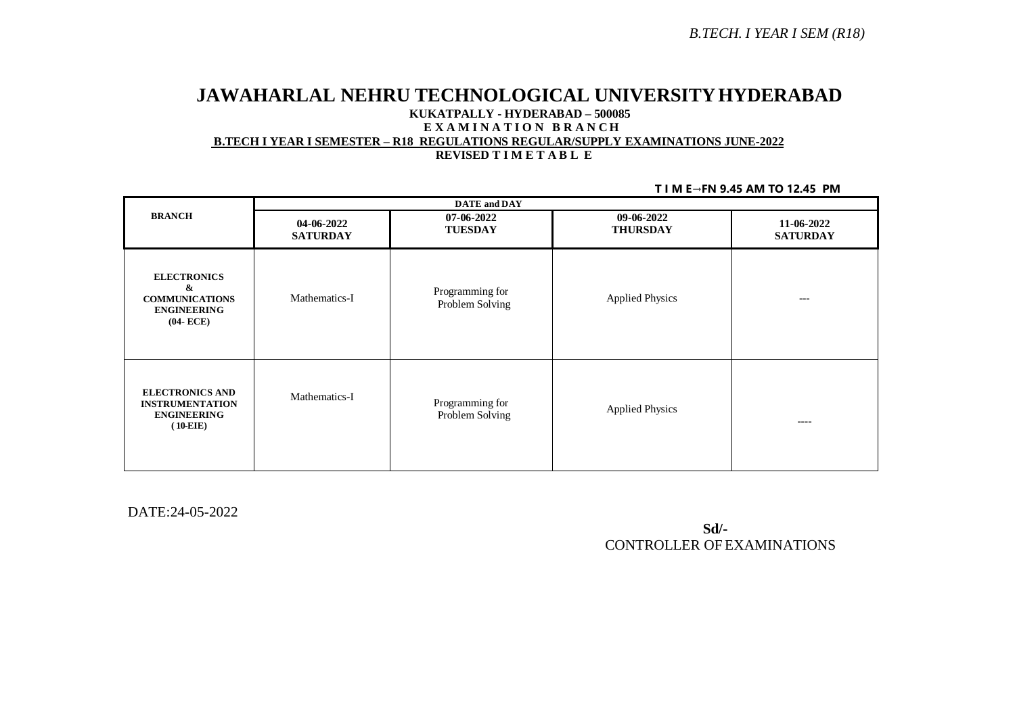# **JAWAHARLAL NEHRU TECHNOLOGICAL UNIVERSITYHYDERABAD KUKATPALLY - HYDERABAD – 500085 E X A M I N A T I O N B R A N CH B.TECH I YEAR I SEMESTER – R18 REGULATIONS REGULAR/SUPPLY EXAMINATIONS JUNE-2022 REVISED T I M E T A B L E**

#### **T I M E→FN 9.45 AM TO 12.45 PM**

| <b>BRANCH</b>                                                                          | <b>DATE</b> and <b>DAY</b>    |                                    |                               |                               |
|----------------------------------------------------------------------------------------|-------------------------------|------------------------------------|-------------------------------|-------------------------------|
|                                                                                        | 04-06-2022<br><b>SATURDAY</b> | $07 - 06 - 2022$<br><b>TUESDAY</b> | 09-06-2022<br><b>THURSDAY</b> | 11-06-2022<br><b>SATURDAY</b> |
| <b>ELECTRONICS</b><br>&<br><b>COMMUNICATIONS</b><br><b>ENGINEERING</b><br>$(04 - ECE)$ | Mathematics-I                 | Programming for<br>Problem Solving | <b>Applied Physics</b>        | ---                           |
| <b>ELECTRONICS AND</b><br><b>INSTRUMENTATION</b><br><b>ENGINEERING</b><br>$(10-EIE)$   | Mathematics-I                 | Programming for<br>Problem Solving | <b>Applied Physics</b>        | $---$                         |

DATE:24-05-2022

 **Sd/-** CONTROLLER OF EXAMINATIONS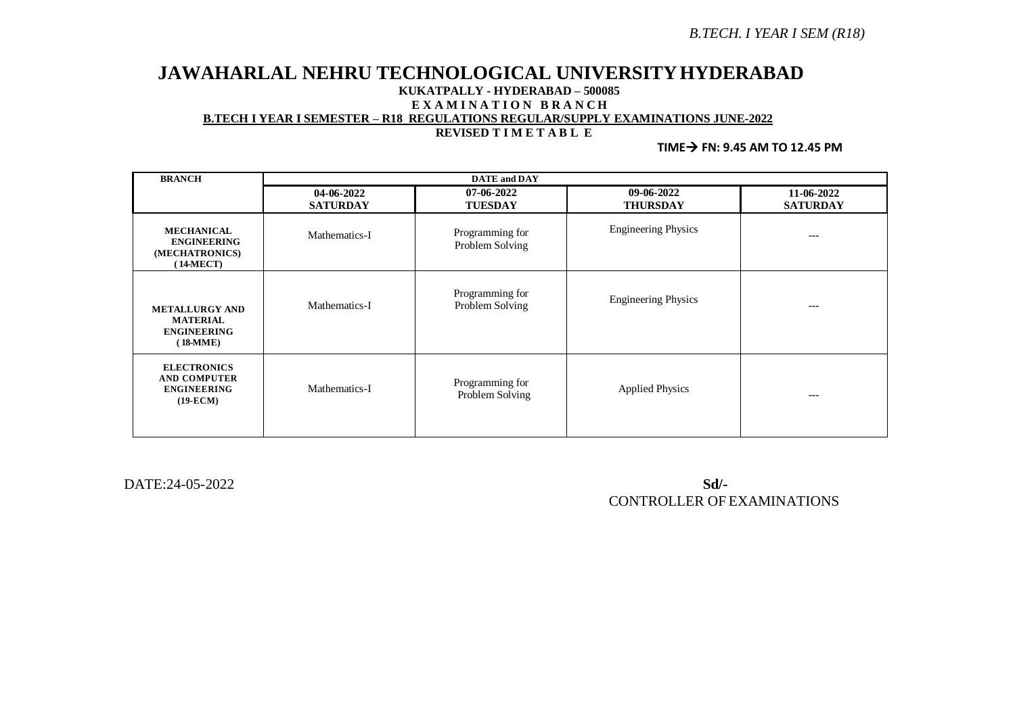# **JAWAHARLAL NEHRU TECHNOLOGICAL UNIVERSITYHYDERABAD KUKATPALLY - HYDERABAD – 500085**

**E X A M I N A T I O N B R A N C H**

**B.TECH I YEAR I SEMESTER – R18 REGULATIONS REGULAR/SUPPLY EXAMINATIONS JUNE-2022**

**REVISED T I M E T A B L E**

 $TIME \rightarrow FN: 9.45 AM TO 12.45 PM$ 

| <b>BRANCH</b>                                                                 |                               | <b>DATE</b> and <b>DAY</b>         |                               |                               |
|-------------------------------------------------------------------------------|-------------------------------|------------------------------------|-------------------------------|-------------------------------|
|                                                                               | 04-06-2022<br><b>SATURDAY</b> | 07-06-2022<br><b>TUESDAY</b>       | 09-06-2022<br><b>THURSDAY</b> | 11-06-2022<br><b>SATURDAY</b> |
| <b>MECHANICAL</b><br><b>ENGINEERING</b><br>(MECHATRONICS)<br>$(14-MECT)$      | Mathematics-I                 | Programming for<br>Problem Solving | <b>Engineering Physics</b>    | $---$                         |
| <b>METALLURGY AND</b><br><b>MATERIAL</b><br><b>ENGINEERING</b><br>(18-MME)    | Mathematics-I                 | Programming for<br>Problem Solving | <b>Engineering Physics</b>    | $---$                         |
| <b>ELECTRONICS</b><br><b>AND COMPUTER</b><br><b>ENGINEERING</b><br>$(19-ECM)$ | Mathematics-I                 | Programming for<br>Problem Solving | <b>Applied Physics</b>        | $---$                         |

DATE:24-05-2022 **Sd/-** CONTROLLER OF EXAMINATIONS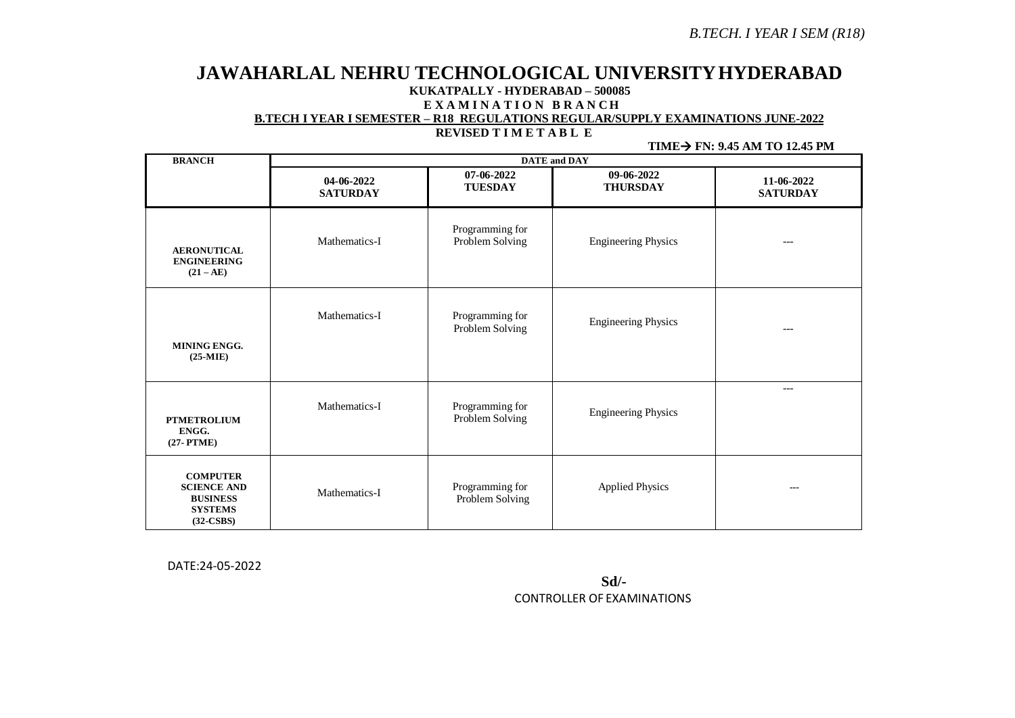# **JAWAHARLAL NEHRU TECHNOLOGICAL UNIVERSITYHYDERABAD KUKATPALLY - HYDERABAD – 500085 E X A M I N A T I O N B R A N CH B.TECH I YEAR I SEMESTER – R18 REGULATIONS REGULAR/SUPPLY EXAMINATIONS JUNE-2022**

**REVISED T I M E T A B L E**

#### **TIME FN: 9.45 AM TO 12.45 PM**

| <b>BRANCH</b>                                                                             | <b>DATE</b> and <b>DAY</b>    |                                    |                               |                               |
|-------------------------------------------------------------------------------------------|-------------------------------|------------------------------------|-------------------------------|-------------------------------|
|                                                                                           | 04-06-2022<br><b>SATURDAY</b> | 07-06-2022<br><b>TUESDAY</b>       | 09-06-2022<br><b>THURSDAY</b> | 11-06-2022<br><b>SATURDAY</b> |
| <b>AERONUTICAL</b><br><b>ENGINEERING</b><br>$(21 - AE)$                                   | Mathematics-I                 | Programming for<br>Problem Solving | <b>Engineering Physics</b>    |                               |
| MINING ENGG.<br>$(25-MIE)$                                                                | Mathematics-I                 | Programming for<br>Problem Solving | <b>Engineering Physics</b>    |                               |
| <b>PTMETROLIUM</b><br>ENGG.<br>$(27 - PTME)$                                              | Mathematics-I                 | Programming for<br>Problem Solving | <b>Engineering Physics</b>    | $---$                         |
| <b>COMPUTER</b><br><b>SCIENCE AND</b><br><b>BUSINESS</b><br><b>SYSTEMS</b><br>$(32-CSBS)$ | Mathematics-I                 | Programming for<br>Problem Solving | <b>Applied Physics</b>        | ---                           |

DATE:24-05-2022

**Sd/-** CONTROLLER OF EXAMINATIONS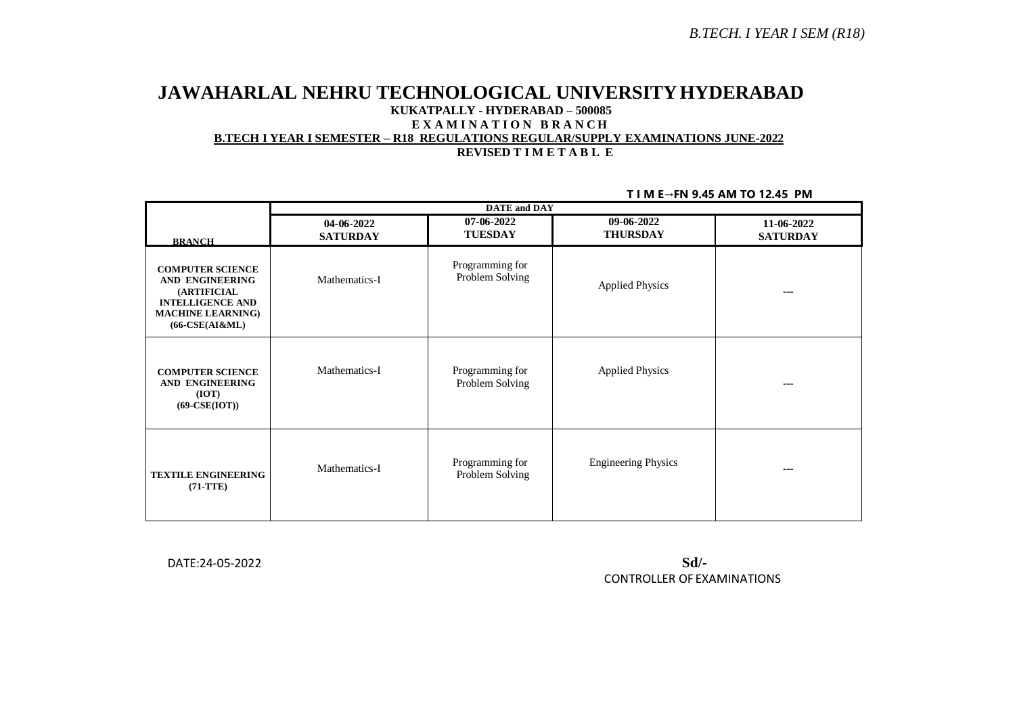# **JAWAHARLAL NEHRU TECHNOLOGICAL UNIVERSITYHYDERABAD KUKATPALLY - HYDERABAD – 500085 E X A M I N A T I O N B R A N C H B.TECH I YEAR I SEMESTER – R18 REGULATIONS REGULAR/SUPPLY EXAMINATIONS JUNE-2022 REVISED T I M E T A B L E**

|                                                                                                                                             | <b>DATE</b> and <b>DAY</b>    |                                    |                               |                               |  |
|---------------------------------------------------------------------------------------------------------------------------------------------|-------------------------------|------------------------------------|-------------------------------|-------------------------------|--|
| <b>BRANCH</b>                                                                                                                               | 04-06-2022<br><b>SATURDAY</b> | 07-06-2022<br><b>TUESDAY</b>       | 09-06-2022<br><b>THURSDAY</b> | 11-06-2022<br><b>SATURDAY</b> |  |
| <b>COMPUTER SCIENCE</b><br>AND ENGINEERING<br><b>(ARTIFICIAL</b><br><b>INTELLIGENCE AND</b><br><b>MACHINE LEARNING)</b><br>$(66-CSE(AI&ML)$ | Mathematics-I                 | Programming for<br>Problem Solving | <b>Applied Physics</b>        | ---                           |  |
| <b>COMPUTER SCIENCE</b><br>AND ENGINEERING<br>(TOT)<br>$(69-CSE(IOT))$                                                                      | Mathematics-I                 | Programming for<br>Problem Solving | <b>Applied Physics</b>        | ---                           |  |
| <b>TEXTILE ENGINEERING</b><br>$(71-TTE)$                                                                                                    | Mathematics-I                 | Programming for<br>Problem Solving | <b>Engineering Physics</b>    | ---                           |  |

**T I M E→FN 9.45 AM TO 12.45 PM**

DATE:24-05-2022 **Sd/-** CONTROLLER OF EXAMINATIONS